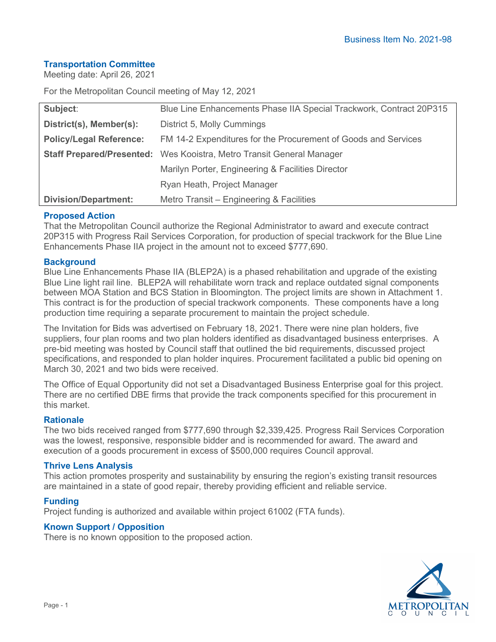## **Transportation Committee**

Meeting date: April 26, 2021

For the Metropolitan Council meeting of May 12, 2021

| Subject:                       | Blue Line Enhancements Phase IIA Special Trackwork, Contract 20P315          |
|--------------------------------|------------------------------------------------------------------------------|
| District(s), Member(s):        | District 5, Molly Cummings                                                   |
| <b>Policy/Legal Reference:</b> | FM 14-2 Expenditures for the Procurement of Goods and Services               |
|                                | <b>Staff Prepared/Presented:</b> Wes Kooistra, Metro Transit General Manager |
|                                | Marilyn Porter, Engineering & Facilities Director                            |
|                                | Ryan Heath, Project Manager                                                  |
| <b>Division/Department:</b>    | Metro Transit - Engineering & Facilities                                     |

### **Proposed Action**

That the Metropolitan Council authorize the Regional Administrator to award and execute contract 20P315 with Progress Rail Services Corporation, for production of special trackwork for the Blue Line Enhancements Phase IIA project in the amount not to exceed \$777,690.

#### **Background**

Blue Line Enhancements Phase IIA (BLEP2A) is a phased rehabilitation and upgrade of the existing Blue Line light rail line. BLEP2A will rehabilitate worn track and replace outdated signal components between MOA Station and BCS Station in Bloomington. The project limits are shown in Attachment 1. This contract is for the production of special trackwork components. These components have a long production time requiring a separate procurement to maintain the project schedule.

The Invitation for Bids was advertised on February 18, 2021. There were nine plan holders, five suppliers, four plan rooms and two plan holders identified as disadvantaged business enterprises. A pre-bid meeting was hosted by Council staff that outlined the bid requirements, discussed project specifications, and responded to plan holder inquires. Procurement facilitated a public bid opening on March 30, 2021 and two bids were received.

The Office of Equal Opportunity did not set a Disadvantaged Business Enterprise goal for this project. There are no certified DBE firms that provide the track components specified for this procurement in this market.

#### **Rationale**

The two bids received ranged from \$777,690 through \$2,339,425. Progress Rail Services Corporation was the lowest, responsive, responsible bidder and is recommended for award. The award and execution of a goods procurement in excess of \$500,000 requires Council approval.

#### **Thrive Lens Analysis**

This action promotes prosperity and sustainability by ensuring the region's existing transit resources are maintained in a state of good repair, thereby providing efficient and reliable service.

#### **Funding**

Project funding is authorized and available within project 61002 (FTA funds).

#### **Known Support / Opposition**

There is no known opposition to the proposed action.